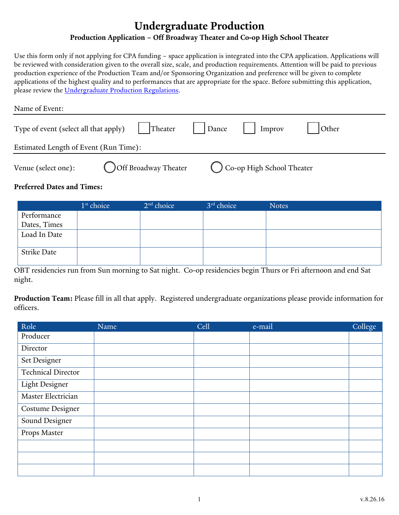# **Undergraduate Production Production Application – Off Broadway Theater and Co-op High School Theater**

Use this form only if not applying for CPA funding – space application is integrated into the CPA application. Applications will be reviewed with consideration given to the overall size, scale, and production requirements. Attention will be paid to previous production experience of the Production Team and/or Sponsoring Organization and preference will be given to complete applications of the highest quality and to performances that are appropriate for the space. Before submitting this application, please review the [Undergraduate Production Regulations.](http://up.yalecollege.yale.edu/regulations)

| Name of Event:                        |                      |         |       |                           |       |
|---------------------------------------|----------------------|---------|-------|---------------------------|-------|
| Type of event (select all that apply) |                      | Theater | Dance | Improv                    | Other |
| Estimated Length of Event (Run Time): |                      |         |       |                           |       |
| Venue (select one):                   | Off Broadway Theater |         |       | Co-op High School Theater |       |

#### **Preferred Dates and Times:**

|              | 1 <sup>st</sup> choice | $2nd$ choice | 3 <sup>rd</sup> choice | <b>Notes</b> |
|--------------|------------------------|--------------|------------------------|--------------|
| Performance  |                        |              |                        |              |
| Dates, Times |                        |              |                        |              |
| Load In Date |                        |              |                        |              |
| Strike Date  |                        |              |                        |              |

OBT residencies run from Sun morning to Sat night. Co-op residencies begin Thurs or Fri afternoon and end Sat night.

**Production Team:** Please fill in all that apply. Registered undergraduate organizations please provide information for officers.

| Role                      | Name | Cell | e-mail | College |
|---------------------------|------|------|--------|---------|
| Producer                  |      |      |        |         |
| Director                  |      |      |        |         |
| Set Designer              |      |      |        |         |
| <b>Technical Director</b> |      |      |        |         |
| Light Designer            |      |      |        |         |
| Master Electrician        |      |      |        |         |
| <b>Costume Designer</b>   |      |      |        |         |
| Sound Designer            |      |      |        |         |
| Props Master              |      |      |        |         |
|                           |      |      |        |         |
|                           |      |      |        |         |
|                           |      |      |        |         |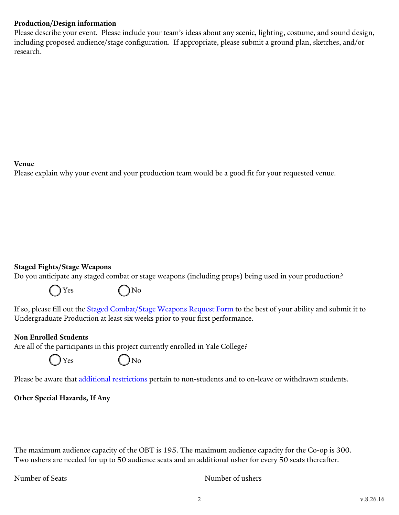### **Production/Design information**

Please describe your event. Please include your team's ideas about any scenic, lighting, costume, and sound design, including proposed audience/stage configuration. If appropriate, please submit a ground plan, sketches, and/or research.

#### **Venue**

Please explain why your event and your production team would be a good fit for your requested venue.

### **Staged Fights/Stage Weapons**

Do you anticipate any staged combat or stage weapons (including props) being used in your production?



If so, please fill out the **Staged Combat/Stage Weapons Request Form** to the best of your ability and submit it to Undergraduate Production at least six weeks prior to your first performance.

#### **Non Enrolled Students**

Are all of the participants in this project currently enrolled in Yale College?



Please be aware that [additional restrictions](http://up.yalecollege.yale.edu/regulations/policies-participation-yale-college-arts-activities-extracurricular) pertain to non-students and to on-leave or withdrawn students.

# **Other Special Hazards, If Any**

The maximum audience capacity of the OBT is 195. The maximum audience capacity for the Co-op is 300. Two ushers are needed for up to 50 audience seats and an additional usher for every 50 seats thereafter.

Number of Seats Number of ushers